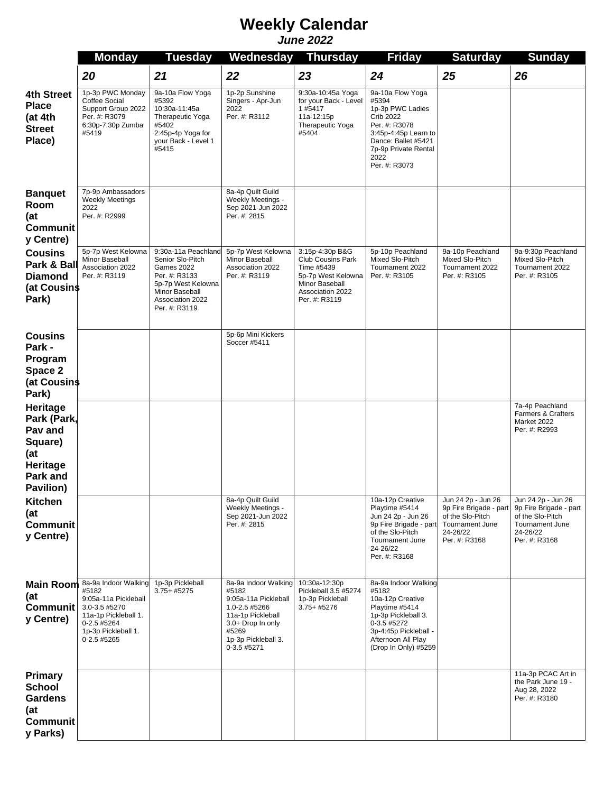## *June 2022* **Weekly Calendar**

|                                                                                                  | <b>Monday</b>                                                                                                                                       | <b>Tuesday</b>                                                                                                                                             | Wednesday                                                                                                                                                       | <b>Thursday</b>                                                                                                                        | <b>Friday</b>                                                                                                                                                                      | <b>Saturday</b>                                                                                                         | <b>Sunday</b>                                                                                                    |
|--------------------------------------------------------------------------------------------------|-----------------------------------------------------------------------------------------------------------------------------------------------------|------------------------------------------------------------------------------------------------------------------------------------------------------------|-----------------------------------------------------------------------------------------------------------------------------------------------------------------|----------------------------------------------------------------------------------------------------------------------------------------|------------------------------------------------------------------------------------------------------------------------------------------------------------------------------------|-------------------------------------------------------------------------------------------------------------------------|------------------------------------------------------------------------------------------------------------------|
|                                                                                                  | 20                                                                                                                                                  | 21                                                                                                                                                         | 22                                                                                                                                                              | 23                                                                                                                                     | 24                                                                                                                                                                                 | 25                                                                                                                      | 26                                                                                                               |
| 4th Street<br><b>Place</b><br>(at 4th<br><b>Street</b><br>Place)                                 | 1p-3p PWC Monday<br>Coffee Social<br>Support Group 2022<br>Per. #: R3079<br>6:30p-7:30p Zumba<br>#5419                                              | 9a-10a Flow Yoga<br>#5392<br>10:30a-11:45a<br>Therapeutic Yoga<br>#5402<br>2:45p-4p Yoga for<br>your Back - Level 1<br>#5415                               | 1p-2p Sunshine<br>Singers - Apr-Jun<br>2022<br>Per. #: R3112                                                                                                    | 9:30a-10:45a Yoga<br>for your Back - Level<br>1#5417<br>11a-12:15p<br>Therapeutic Yoga<br>#5404                                        | 9a-10a Flow Yoga<br>#5394<br>1p-3p PWC Ladies<br><b>Crib 2022</b><br>Per. #: R3078<br>3:45p-4:45p Learn to<br>Dance: Ballet #5421<br>7p-9p Private Rental<br>2022<br>Per. #: R3073 |                                                                                                                         |                                                                                                                  |
| <b>Banquet</b><br>Room<br>(at<br><b>Communit</b><br>y Centre)                                    | 7p-9p Ambassadors<br><b>Weekly Meetings</b><br>2022<br>Per. #: R2999                                                                                |                                                                                                                                                            | 8a-4p Quilt Guild<br>Weekly Meetings -<br>Sep 2021-Jun 2022<br>Per. #: 2815                                                                                     |                                                                                                                                        |                                                                                                                                                                                    |                                                                                                                         |                                                                                                                  |
| <b>Cousins</b><br>Park & Ball<br><b>Diamond</b><br>(at Cousins<br>Park)                          | 5p-7p West Kelowna<br>Minor Baseball<br>Association 2022<br>Per. #: R3119                                                                           | 9:30a-11a Peachland<br>Senior Slo-Pitch<br><b>Games 2022</b><br>Per. #: R3133<br>5p-7p West Kelowna<br>Minor Baseball<br>Association 2022<br>Per. #: R3119 | 5p-7p West Kelowna<br>Minor Baseball<br>Association 2022<br>Per. #: R3119                                                                                       | 3:15p-4:30p B&G<br><b>Club Cousins Park</b><br>Time #5439<br>5p-7p West Kelowna<br>Minor Baseball<br>Association 2022<br>Per. #: R3119 | 5p-10p Peachland<br>Mixed Slo-Pitch<br>Tournament 2022<br>Per. #: R3105                                                                                                            | 9a-10p Peachland<br>Mixed Slo-Pitch<br>Tournament 2022<br>Per. #: R3105                                                 | 9a-9:30p Peachland<br>Mixed Slo-Pitch<br>Tournament 2022<br>Per. #: R3105                                        |
| <b>Cousins</b><br>Park -                                                                         |                                                                                                                                                     |                                                                                                                                                            | 5p-6p Mini Kickers<br>Soccer #5411                                                                                                                              |                                                                                                                                        |                                                                                                                                                                                    |                                                                                                                         |                                                                                                                  |
| Program<br>Space 2<br>(at Cousins<br>Park)                                                       |                                                                                                                                                     |                                                                                                                                                            |                                                                                                                                                                 |                                                                                                                                        |                                                                                                                                                                                    |                                                                                                                         |                                                                                                                  |
| Heritage<br>Park (Park,<br>Pav and<br>Square)<br>(at<br>Heritage<br><b>Park and</b><br>Pavilion) |                                                                                                                                                     |                                                                                                                                                            |                                                                                                                                                                 |                                                                                                                                        |                                                                                                                                                                                    |                                                                                                                         | 7a-4p Peachland<br>Farmers & Crafters<br>Market 2022<br>Per. #: R2993                                            |
| <b>Kitchen</b><br>(at<br><b>Communit</b><br>y Centre)                                            |                                                                                                                                                     |                                                                                                                                                            | 8a-4p Quilt Guild<br>Weekly Meetings -<br>Sep 2021-Jun 2022<br>Per. #: 2815                                                                                     |                                                                                                                                        | 10a-12p Creative<br>Playtime #5414<br>Jun 24 2p - Jun 26<br>9p Fire Brigade - part<br>of the Slo-Pitch<br>Tournament June<br>24-26/22<br>Per. #: R3168                             | Jun 24 2p - Jun 26<br>9p Fire Brigade - part<br>of the Slo-Pitch<br><b>Tournament June</b><br>24-26/22<br>Per. #: R3168 | Jun 24 2p - Jun 26<br>9p Fire Brigade - part<br>of the Slo-Pitch<br>Tournament June<br>24-26/22<br>Per. #: R3168 |
| <b>Main Room</b><br>(at<br><b>Communit</b><br>y Centre)                                          | 8a-9a Indoor Walking<br>#5182<br>9:05a-11a Pickleball<br>3.0-3.5 #5270<br>11a-1p Pickleball 1.<br>0-2.5 #5264<br>1p-3p Pickleball 1.<br>0-2.5 #5265 | 1p-3p Pickleball<br>$3.75 + #5275$                                                                                                                         | 8a-9a Indoor Walking<br>#5182<br>9:05a-11a Pickleball<br>1.0-2.5 #5266<br>11a-1p Pickleball<br>3.0+ Drop In only<br>#5269<br>1p-3p Pickleball 3.<br>0-3.5 #5271 | 10:30a-12:30p<br>Pickleball 3.5 #5274<br>1p-3p Pickleball<br>3.75+ #5276                                                               | 8a-9a Indoor Walking<br>#5182<br>10a-12p Creative<br>Playtime #5414<br>1p-3p Pickleball 3.<br>0-3.5 #5272<br>3p-4:45p Pickleball -<br>Afternoon All Play<br>(Drop In Only) #5259   |                                                                                                                         |                                                                                                                  |
| <b>Primary</b><br><b>School</b><br><b>Gardens</b><br>(at<br><b>Communit</b><br>y Parks)          |                                                                                                                                                     |                                                                                                                                                            |                                                                                                                                                                 |                                                                                                                                        |                                                                                                                                                                                    |                                                                                                                         | 11a-3p PCAC Art in<br>the Park June 19 -<br>Aug 28, 2022<br>Per. #: R3180                                        |